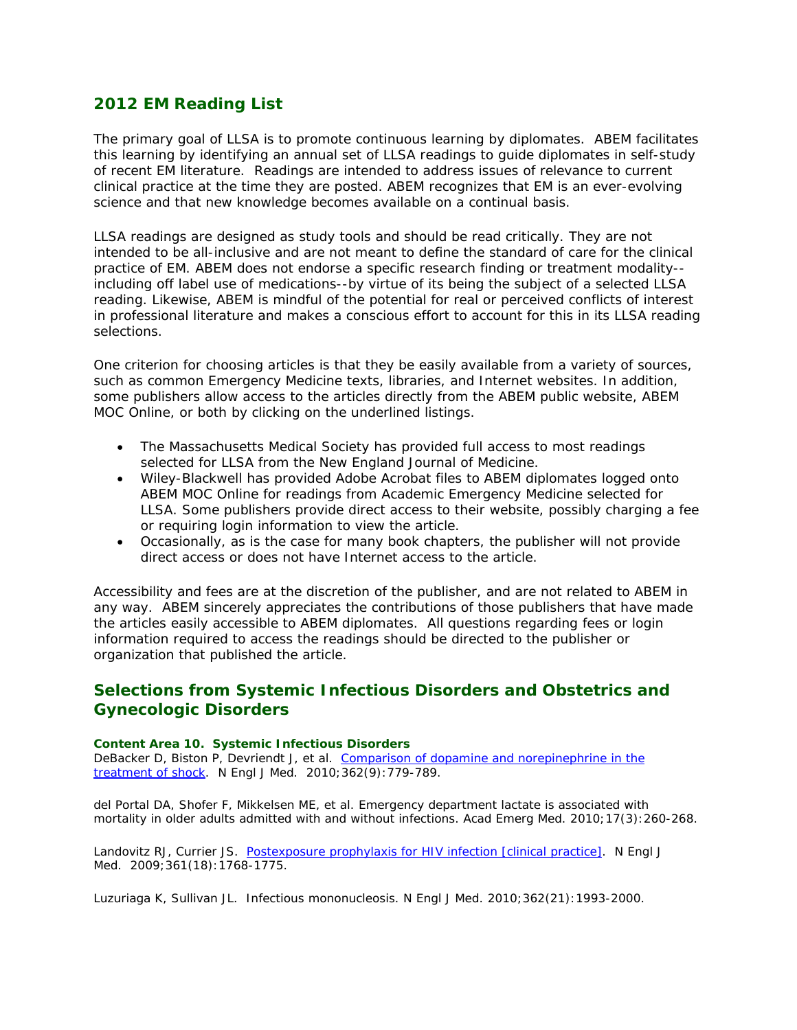# **2012 EM Reading List**

The primary goal of LLSA is to promote continuous learning by diplomates. ABEM facilitates this learning by identifying an annual set of LLSA readings to guide diplomates in self-study of recent EM literature. Readings are intended to address issues of relevance to current clinical practice at the time they are posted. ABEM recognizes that EM is an ever-evolving science and that new knowledge becomes available on a continual basis.

LLSA readings are designed as study tools and should be read critically. They are not intended to be all-inclusive and are not meant to define the standard of care for the clinical practice of EM. ABEM does not endorse a specific research finding or treatment modality- including off label use of medications--by virtue of its being the subject of a selected LLSA reading. Likewise, ABEM is mindful of the potential for real or perceived conflicts of interest in professional literature and makes a conscious effort to account for this in its LLSA reading selections.

One criterion for choosing articles is that they be easily available from a variety of sources, such as common Emergency Medicine texts, libraries, and Internet websites. In addition, some publishers allow access to the articles directly from the ABEM public website, ABEM MOC Online, or both by clicking on the underlined listings.

- The Massachusetts Medical Society has provided full access to most readings selected for LLSA from the *New England Journal of Medicine.*
- Wiley-Blackwell has provided Adobe Acrobat files to ABEM diplomates logged onto ABEM MOC Online for readings from *Academic Emergency Medicine* selected for LLSA. Some publishers provide direct access to their website, possibly charging a fee or requiring login information to view the article.
- Occasionally, as is the case for many book chapters, the publisher will not provide direct access or does not have Internet access to the article.

Accessibility and fees are at the discretion of the publisher, and are not related to ABEM in any way. ABEM sincerely appreciates the contributions of those publishers that have made the articles easily accessible to ABEM diplomates. All questions regarding fees or login information required to access the readings should be directed to the publisher or organization that published the article.

# **Selections from Systemic Infectious Disorders and Obstetrics and Gynecologic Disorders**

#### *Content Area 10. Systemic Infectious Disorders*

DeBacker D, Biston P, Devriendt J, et al. Comparison of dopamine and norepinephrine in the treatment of shock. *N Engl J Med*. 2010;362(9):779-789.

del Portal DA, Shofer F, Mikkelsen ME, et al. Emergency department lactate is associated with mortality in older adults admitted with and without infections. *Acad Emerg Med*. 2010;17(3):260-268.

Landovitz RJ, Currier JS. Postexposure prophylaxis for HIV infection [clinical practice]. *N Engl J Med.* 2009;361(18):1768-1775.

Luzuriaga K, Sullivan JL. Infectious mononucleosis. *N Engl J Med*. 2010;362(21):1993-2000.